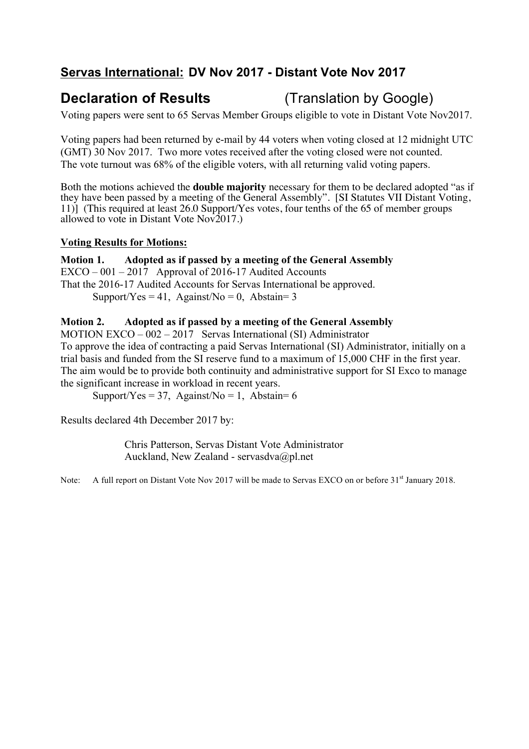# **Servas International: DV Nov 2017 - Distant Vote Nov 2017**

# **Declaration of Results** (Translation by Google)

Voting papers were sent to 65 Servas Member Groups eligible to vote in Distant Vote Nov2017.

Voting papers had been returned by e-mail by 44 voters when voting closed at 12 midnight UTC (GMT) 30 Nov 2017. Two more votes received after the voting closed were not counted. The vote turnout was 68% of the eligible voters, with all returning valid voting papers.

Both the motions achieved the **double majority** necessary for them to be declared adopted "as if they have been passed by a meeting of the General Assembly". [SI Statutes VII Distant Voting, 11)] (This required at least 26.0 Support/Yes votes, four tenths of the 65 of member groups allowed to vote in Distant Vote Nov2017.)

### **Voting Results for Motions:**

**Motion 1. Adopted as if passed by a meeting of the General Assembly** EXCO – 001 – 2017 Approval of 2016-17 Audited Accounts That the 2016-17 Audited Accounts for Servas International be approved. Support/Yes = 41, Against/No = 0, Abstain= 3

### **Motion 2. Adopted as if passed by a meeting of the General Assembly**

MOTION EXCO – 002 – 2017 Servas International (SI) Administrator To approve the idea of contracting a paid Servas International (SI) Administrator, initially on a trial basis and funded from the SI reserve fund to a maximum of 15,000 CHF in the first year. The aim would be to provide both continuity and administrative support for SI Exco to manage

the significant increase in workload in recent years.

Support/Yes = 37, Against/No = 1, Abstain= 6

Results declared 4th December 2017 by:

Chris Patterson, Servas Distant Vote Administrator Auckland, New Zealand - servasdva@pl.net

Note: A full report on Distant Vote Nov 2017 will be made to Servas EXCO on or before 31<sup>st</sup> January 2018.